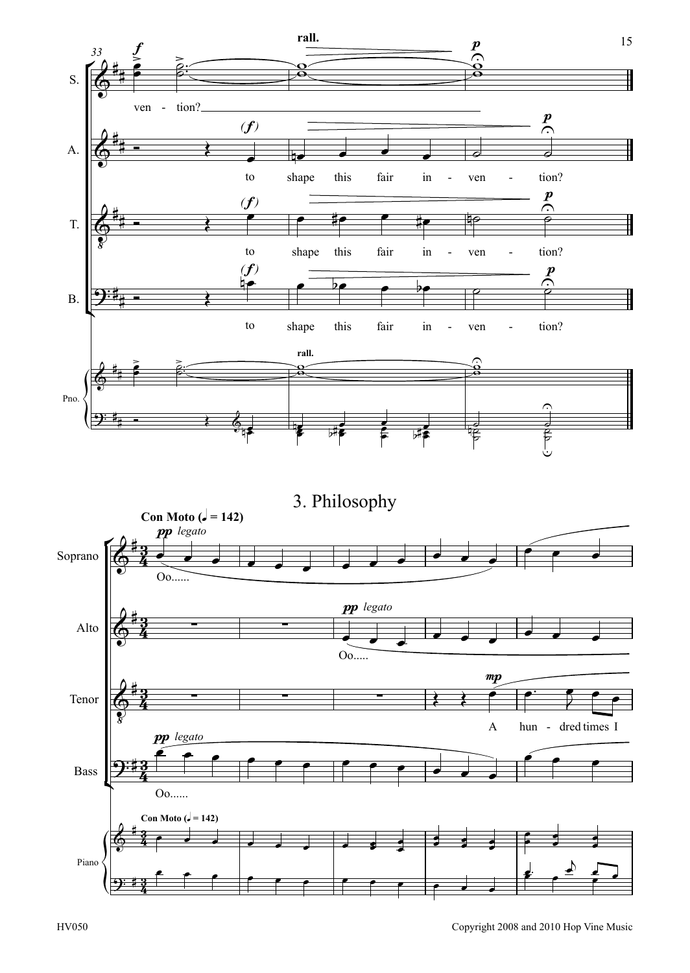